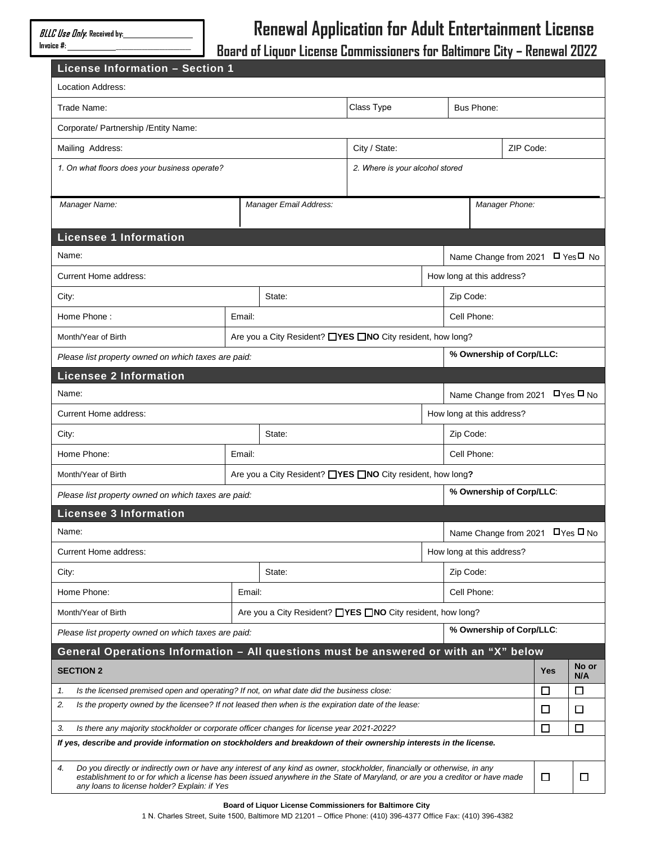## **Renewal Application for Adult Entertainment License**

**Board of Liquor License Commissioners for Baltimore City – Renewal 2022**

| License Information - Section 1                                                                                                                                                                                                                                                                                   |        |                                                            |                                 |                |                                                                            |                          |   |              |  |
|-------------------------------------------------------------------------------------------------------------------------------------------------------------------------------------------------------------------------------------------------------------------------------------------------------------------|--------|------------------------------------------------------------|---------------------------------|----------------|----------------------------------------------------------------------------|--------------------------|---|--------------|--|
| Location Address:                                                                                                                                                                                                                                                                                                 |        |                                                            |                                 |                |                                                                            |                          |   |              |  |
| Trade Name:                                                                                                                                                                                                                                                                                                       |        |                                                            | Class Type                      |                | <b>Bus Phone:</b>                                                          |                          |   |              |  |
| Corporate/ Partnership / Entity Name:                                                                                                                                                                                                                                                                             |        |                                                            |                                 |                |                                                                            |                          |   |              |  |
| Mailing Address:                                                                                                                                                                                                                                                                                                  |        |                                                            | City / State:                   |                |                                                                            | ZIP Code:                |   |              |  |
| 1. On what floors does your business operate?                                                                                                                                                                                                                                                                     |        |                                                            | 2. Where is your alcohol stored |                |                                                                            |                          |   |              |  |
|                                                                                                                                                                                                                                                                                                                   |        |                                                            |                                 |                |                                                                            |                          |   |              |  |
| Manager Name:                                                                                                                                                                                                                                                                                                     |        | Manager Email Address:                                     |                                 | Manager Phone: |                                                                            |                          |   |              |  |
| <b>Licensee 1 Information</b>                                                                                                                                                                                                                                                                                     |        |                                                            |                                 |                |                                                                            |                          |   |              |  |
| Name:                                                                                                                                                                                                                                                                                                             |        |                                                            |                                 |                |                                                                            |                          |   |              |  |
| Current Home address:                                                                                                                                                                                                                                                                                             |        |                                                            |                                 |                | Name Change from 2021<br>$\Box$ Yes $\Box$ No<br>How long at this address? |                          |   |              |  |
| City:                                                                                                                                                                                                                                                                                                             |        | State:                                                     |                                 |                |                                                                            |                          |   |              |  |
|                                                                                                                                                                                                                                                                                                                   |        |                                                            |                                 | Zip Code:      |                                                                            |                          |   |              |  |
| Home Phone:                                                                                                                                                                                                                                                                                                       | Email: |                                                            |                                 |                | Cell Phone:                                                                |                          |   |              |  |
| Are you a City Resident? □YES □NO City resident, how long?<br>Month/Year of Birth                                                                                                                                                                                                                                 |        |                                                            |                                 |                |                                                                            | % Ownership of Corp/LLC: |   |              |  |
| Please list property owned on which taxes are paid:                                                                                                                                                                                                                                                               |        |                                                            |                                 |                |                                                                            |                          |   |              |  |
| <b>Licensee 2 Information</b><br>Name:                                                                                                                                                                                                                                                                            |        |                                                            |                                 |                |                                                                            |                          |   |              |  |
| Current Home address:                                                                                                                                                                                                                                                                                             |        |                                                            |                                 |                | Name Change from 2021<br>$\Box$ Yes $\Box$ No<br>How long at this address? |                          |   |              |  |
|                                                                                                                                                                                                                                                                                                                   |        |                                                            |                                 |                |                                                                            |                          |   |              |  |
| City:<br>Home Phone:                                                                                                                                                                                                                                                                                              | State: |                                                            |                                 |                | Zip Code:<br>Cell Phone:                                                   |                          |   |              |  |
|                                                                                                                                                                                                                                                                                                                   | Email: |                                                            |                                 |                |                                                                            |                          |   |              |  |
| Are you a City Resident? □YES □NO City resident, how long?<br>Month/Year of Birth<br>% Ownership of Corp/LLC:                                                                                                                                                                                                     |        |                                                            |                                 |                |                                                                            |                          |   |              |  |
| Please list property owned on which taxes are paid:<br><b>Licensee 3 Information</b>                                                                                                                                                                                                                              |        |                                                            |                                 |                |                                                                            |                          |   |              |  |
| Name:                                                                                                                                                                                                                                                                                                             |        |                                                            |                                 |                |                                                                            |                          |   |              |  |
| Current Home address:                                                                                                                                                                                                                                                                                             |        |                                                            |                                 |                | Name Change from 2021 DYes D No<br>How long at this address?               |                          |   |              |  |
| City:                                                                                                                                                                                                                                                                                                             | State: |                                                            |                                 |                | Zip Code:                                                                  |                          |   |              |  |
| Home Phone:                                                                                                                                                                                                                                                                                                       | Email: |                                                            |                                 | Cell Phone:    |                                                                            |                          |   |              |  |
| Month/Year of Birth                                                                                                                                                                                                                                                                                               |        | Are you a City Resident? □YES □NO City resident, how long? |                                 |                |                                                                            |                          |   |              |  |
| % Ownership of Corp/LLC:<br>Please list property owned on which taxes are paid:                                                                                                                                                                                                                                   |        |                                                            |                                 |                |                                                                            |                          |   |              |  |
| General Operations Information - All questions must be answered or with an "X" below                                                                                                                                                                                                                              |        |                                                            |                                 |                |                                                                            |                          |   |              |  |
| <b>SECTION 2</b>                                                                                                                                                                                                                                                                                                  |        |                                                            |                                 |                |                                                                            | Yes                      |   | No or<br>N/A |  |
| Is the licensed premised open and operating? If not, on what date did the business close:<br>1.                                                                                                                                                                                                                   |        |                                                            |                                 |                | □                                                                          |                          | □ |              |  |
| 2.<br>Is the property owned by the licensee? If not leased then when is the expiration date of the lease:                                                                                                                                                                                                         |        |                                                            |                                 |                | □                                                                          |                          | □ |              |  |
| 3.<br>Is there any majority stockholder or corporate officer changes for license year 2021-2022?                                                                                                                                                                                                                  |        |                                                            |                                 |                |                                                                            | □                        |   | □            |  |
| If yes, describe and provide information on stockholders and breakdown of their ownership interests in the license.                                                                                                                                                                                               |        |                                                            |                                 |                |                                                                            |                          |   |              |  |
| 4.<br>Do you directly or indirectly own or have any interest of any kind as owner, stockholder, financially or otherwise, in any<br>establishment to or for which a license has been issued anywhere in the State of Maryland, or are you a creditor or have made<br>any loans to license holder? Explain: if Yes |        |                                                            |                                 |                | $\Box$                                                                     |                          | □ |              |  |